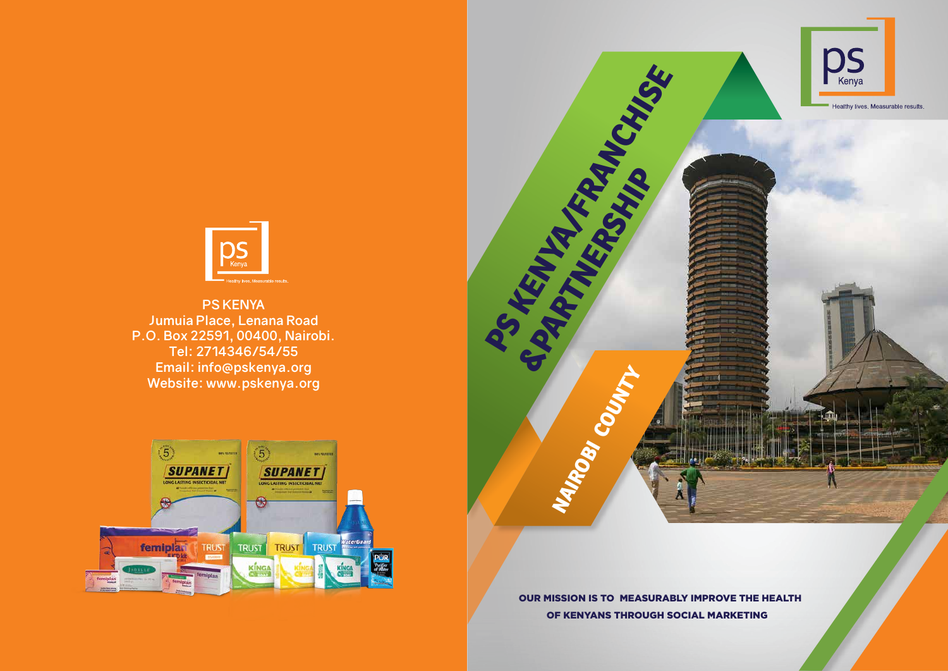

OUR MISSION IS TO MEASURABLY IMPROVE THE HEALTH OF KENYANS THROUGH SOCIAL MARKETING



**PS KENYA Jumuia Place, Lenana Road P.O. Box 22591, 00400, Nairobi. Tel: 2714346/54/55 Email: info@pskenya.org Website: www.pskenya.org**